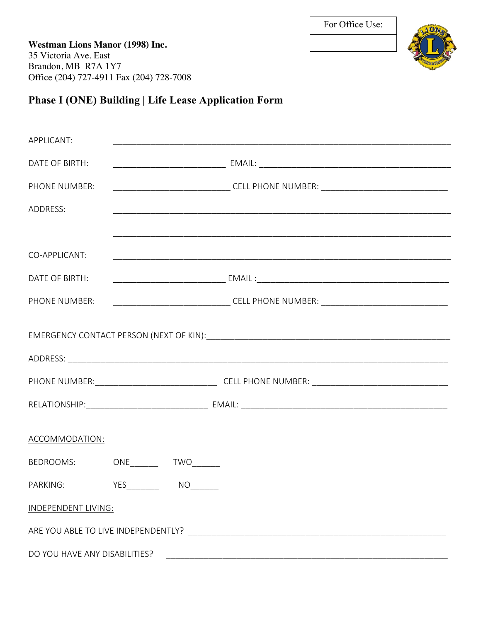**Westman Lions Manor (1998) Inc.** 35 Victoria Ave. East Brandon, MB R7A 1Y7 Office (204) 727-4911 Fax (204) 728-7008



## **Phase I (ONE) Building | Life Lease Application Form**

| APPLICANT:                    |  |    |                                                                                   |  |  |  |  |
|-------------------------------|--|----|-----------------------------------------------------------------------------------|--|--|--|--|
| DATE OF BIRTH:                |  |    |                                                                                   |  |  |  |  |
| PHONE NUMBER:                 |  |    | ____________________________________CELL PHONE NUMBER: __________________________ |  |  |  |  |
| ADDRESS:                      |  |    |                                                                                   |  |  |  |  |
|                               |  |    |                                                                                   |  |  |  |  |
| CO-APPLICANT:                 |  |    |                                                                                   |  |  |  |  |
| DATE OF BIRTH:                |  |    |                                                                                   |  |  |  |  |
| PHONE NUMBER:                 |  |    | _____________________________________CELL PHONE NUMBER: ________________________  |  |  |  |  |
|                               |  |    |                                                                                   |  |  |  |  |
|                               |  |    |                                                                                   |  |  |  |  |
|                               |  |    |                                                                                   |  |  |  |  |
|                               |  |    |                                                                                   |  |  |  |  |
| ACCOMMODATION:                |  |    |                                                                                   |  |  |  |  |
| BEDROOMS: ONE TWO             |  |    |                                                                                   |  |  |  |  |
| PARKING: YES________          |  | NO |                                                                                   |  |  |  |  |
| INDEPENDENT LIVING:           |  |    |                                                                                   |  |  |  |  |
|                               |  |    |                                                                                   |  |  |  |  |
| DO YOU HAVE ANY DISABILITIES? |  |    |                                                                                   |  |  |  |  |